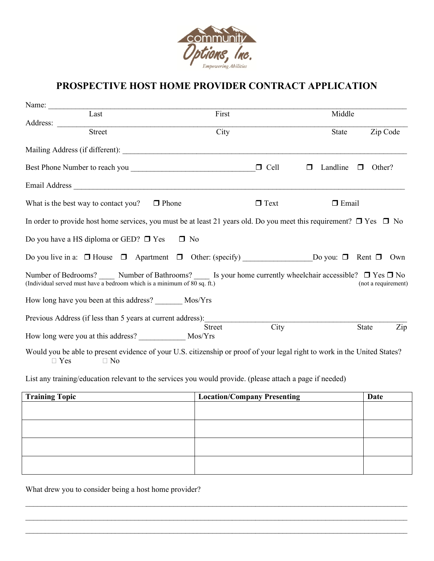

## **PROSPECTIVE HOST HOME PROVIDER CONTRACT APPLICATION**

| Name: $\frac{1}{\sqrt{1-\frac{1}{2}}\cdot\frac{1}{2}}$                   |        |              |                                                                                                                               |             |                    |          |                     |
|--------------------------------------------------------------------------|--------|--------------|-------------------------------------------------------------------------------------------------------------------------------|-------------|--------------------|----------|---------------------|
|                                                                          | Last   |              | First                                                                                                                         |             | Middle             |          |                     |
| Address:                                                                 |        |              |                                                                                                                               |             |                    |          |                     |
|                                                                          | Street |              | City                                                                                                                          |             | State              | Zip Code |                     |
|                                                                          |        |              |                                                                                                                               |             |                    |          |                     |
|                                                                          |        |              |                                                                                                                               | $\Box$ Cell | Landline<br>$\Box$ | Other?   |                     |
|                                                                          |        |              |                                                                                                                               |             |                    |          |                     |
| What is the best way to contact you?                                     |        | $\Box$ Phone |                                                                                                                               | $\Box$ Text | $\Box$ Email       |          |                     |
|                                                                          |        |              | In order to provide host home services, you must be at least 21 years old. Do you meet this requirement? $\Box$ Yes $\Box$ No |             |                    |          |                     |
| Do you have a HS diploma or GED? $\Box$ Yes $\Box$ No                    |        |              |                                                                                                                               |             |                    |          |                     |
|                                                                          |        |              |                                                                                                                               |             |                    |          |                     |
| (Individual served must have a bedroom which is a minimum of 80 sq. ft.) |        |              | Number of Bedrooms? Number of Bathrooms? Summer use of Business and Summer and Summer of Bedrooms? No                         |             |                    |          | (not a requirement) |
| How long have you been at this address? ________ Mos/Yrs                 |        |              |                                                                                                                               |             |                    |          |                     |
| Previous Address (if less than 5 years at current address):              |        |              |                                                                                                                               |             |                    |          |                     |
|                                                                          |        |              | <b>Street</b>                                                                                                                 | City        |                    | State    | Zip                 |
|                                                                          |        |              | Would you be able to present evidence of your U.S. citizenship or proof of your legal right to work in the United States?     |             |                    |          |                     |

List any training/education relevant to the services you would provide. (please attach a page if needed)

| <b>Training Topic</b> | <b>Location/Company Presenting</b> | Date |
|-----------------------|------------------------------------|------|
|                       |                                    |      |
|                       |                                    |      |
|                       |                                    |      |
|                       |                                    |      |
|                       |                                    |      |
|                       |                                    |      |
|                       |                                    |      |
|                       |                                    |      |

 $\_$  $\_$  $\mathcal{L}_\mathcal{L} = \mathcal{L}_\mathcal{L} = \mathcal{L}_\mathcal{L} = \mathcal{L}_\mathcal{L} = \mathcal{L}_\mathcal{L} = \mathcal{L}_\mathcal{L} = \mathcal{L}_\mathcal{L} = \mathcal{L}_\mathcal{L} = \mathcal{L}_\mathcal{L} = \mathcal{L}_\mathcal{L} = \mathcal{L}_\mathcal{L} = \mathcal{L}_\mathcal{L} = \mathcal{L}_\mathcal{L} = \mathcal{L}_\mathcal{L} = \mathcal{L}_\mathcal{L} = \mathcal{L}_\mathcal{L} = \mathcal{L}_\mathcal{L}$ 

What drew you to consider being a host home provider?

 $\Box$  Yes  $\Box$  No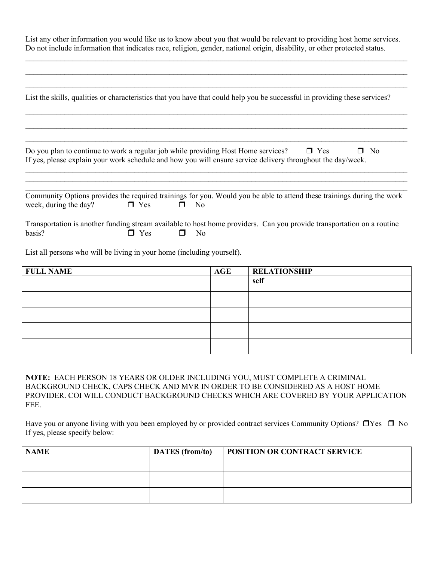| List any other information you would like us to know about you that would be relevant to providing host home services.    |
|---------------------------------------------------------------------------------------------------------------------------|
| Do not include information that indicates race, religion, gender, national origin, disability, or other protected status. |

 $\_$  , and the set of the set of the set of the set of the set of the set of the set of the set of the set of the set of the set of the set of the set of the set of the set of the set of the set of the set of the set of th  $\_$  , and the contribution of the contribution of the contribution of the contribution of the contribution of  $\mathcal{L}_\text{max}$ 

| List the skills, qualities or characteristics that you have that could help you be successful in providing these services?                                                                       |            |                |  |            |                     |  |
|--------------------------------------------------------------------------------------------------------------------------------------------------------------------------------------------------|------------|----------------|--|------------|---------------------|--|
|                                                                                                                                                                                                  |            |                |  |            |                     |  |
| Do you plan to continue to work a regular job while providing Host Home services?<br>If yes, please explain your work schedule and how you will ensure service delivery throughout the day/week. |            |                |  | $\Box$ Yes | N <sub>o</sub><br>П |  |
| Community Options provides the required trainings for you. Would you be able to attend these trainings during the work<br>week, during the day?                                                  | $\Box$ Yes | $\Box$ No      |  |            |                     |  |
| Transportation is another funding stream available to host home providers. Can you provide transportation on a routine<br>basis?                                                                 | Yes        | N <sub>o</sub> |  |            |                     |  |
| List all persons who will be living in your home (including yourself).                                                                                                                           |            |                |  |            |                     |  |

| <b>FULL NAME</b> | $\mathbf{AGE}$ | <b>RELATIONSHIP</b> |
|------------------|----------------|---------------------|
|                  |                | self                |
|                  |                |                     |
|                  |                |                     |
|                  |                |                     |
|                  |                |                     |

**NOTE:** EACH PERSON 18 YEARS OR OLDER INCLUDING YOU, MUST COMPLETE A CRIMINAL BACKGROUND CHECK, CAPS CHECK AND MVR IN ORDER TO BE CONSIDERED AS A HOST HOME PROVIDER. COI WILL CONDUCT BACKGROUND CHECKS WHICH ARE COVERED BY YOUR APPLICATION FEE.

Have you or anyone living with you been employed by or provided contract services Community Options?  $\Box$  Yes  $\Box$  No If yes, please specify below:

| <b>NAME</b> | <b>DATES</b> (from/to) | <b>POSITION OR CONTRACT SERVICE</b> |
|-------------|------------------------|-------------------------------------|
|             |                        |                                     |
|             |                        |                                     |
|             |                        |                                     |
|             |                        |                                     |
|             |                        |                                     |
|             |                        |                                     |